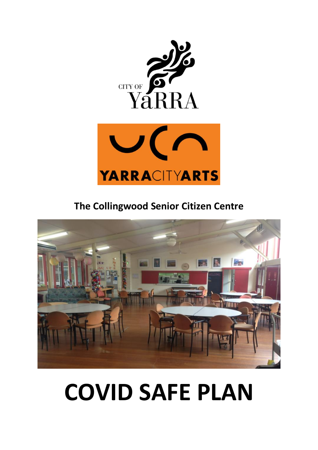



**The Collingwood Senior Citizen Centre**



# **COVID SAFE PLAN**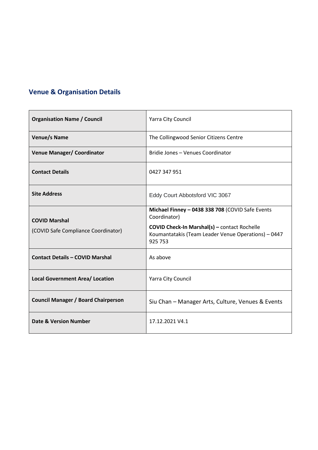## **Venue & Organisation Details**

| <b>Organisation Name / Council</b>                          | Yarra City Council                                                                                                                                                                        |
|-------------------------------------------------------------|-------------------------------------------------------------------------------------------------------------------------------------------------------------------------------------------|
| Venue/s Name                                                | The Collingwood Senior Citizens Centre                                                                                                                                                    |
| <b>Venue Manager/ Coordinator</b>                           | Bridie Jones - Venues Coordinator                                                                                                                                                         |
| <b>Contact Details</b>                                      | 0427 347 951                                                                                                                                                                              |
| <b>Site Address</b>                                         | Eddy Court Abbotsford VIC 3067                                                                                                                                                            |
| <b>COVID Marshal</b><br>(COVID Safe Compliance Coordinator) | Michael Finney - 0438 338 708 (COVID Safe Events<br>Coordinator)<br><b>COVID Check-In Marshal(s) - contact Rochelle</b><br>Koumantatakis (Team Leader Venue Operations) - 0447<br>925 753 |
| <b>Contact Details - COVID Marshal</b>                      | As above                                                                                                                                                                                  |
| <b>Local Government Area/ Location</b>                      | Yarra City Council                                                                                                                                                                        |
| <b>Council Manager / Board Chairperson</b>                  | Siu Chan - Manager Arts, Culture, Venues & Events                                                                                                                                         |
| <b>Date &amp; Version Number</b>                            | 17.12.2021 V4.1                                                                                                                                                                           |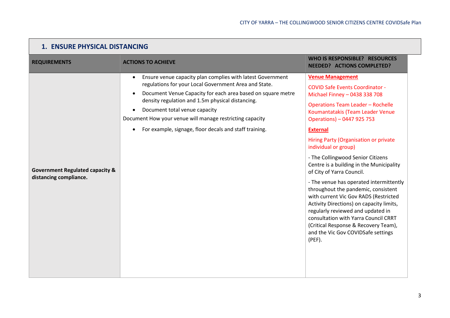| <b>1. ENSURE PHYSICAL DISTANCING</b>                                 |                                                                                                                                                                                                                                                                                                                                                                                                            |                                                                                                                                                                                                                                                                                                                                                                                                                                                                                                                                                                                                                                                                                                                                                                   |
|----------------------------------------------------------------------|------------------------------------------------------------------------------------------------------------------------------------------------------------------------------------------------------------------------------------------------------------------------------------------------------------------------------------------------------------------------------------------------------------|-------------------------------------------------------------------------------------------------------------------------------------------------------------------------------------------------------------------------------------------------------------------------------------------------------------------------------------------------------------------------------------------------------------------------------------------------------------------------------------------------------------------------------------------------------------------------------------------------------------------------------------------------------------------------------------------------------------------------------------------------------------------|
| <b>REQUIREMENTS</b>                                                  | <b>ACTIONS TO ACHIEVE</b>                                                                                                                                                                                                                                                                                                                                                                                  | <b>WHO IS RESPONSIBLE? RESOURCES</b><br><b>NEEDED? ACTIONS COMPLETED?</b>                                                                                                                                                                                                                                                                                                                                                                                                                                                                                                                                                                                                                                                                                         |
| <b>Government Regulated capacity &amp;</b><br>distancing compliance. | Ensure venue capacity plan complies with latest Government<br>$\bullet$<br>regulations for your Local Government Area and State.<br>Document Venue Capacity for each area based on square metre<br>density regulation and 1.5m physical distancing.<br>Document total venue capacity<br>Document How your venue will manage restricting capacity<br>For example, signage, floor decals and staff training. | <b>Venue Management</b><br><b>COVID Safe Events Coordinator -</b><br>Michael Finney - 0438 338 708<br><b>Operations Team Leader - Rochelle</b><br>Koumantatakis (Team Leader Venue<br>Operations) - 0447 925 753<br><b>External</b><br>Hiring Party (Organisation or private<br>individual or group)<br>- The Collingwood Senior Citizens<br>Centre is a building in the Municipality<br>of City of Yarra Council.<br>- The venue has operated intermittently<br>throughout the pandemic, consistent<br>with current Vic Gov RADS (Restricted<br>Activity Directions) on capacity limits,<br>regularly reviewed and updated in<br>consultation with Yarra Council CRRT<br>(Critical Response & Recovery Team),<br>and the Vic Gov COVIDSafe settings<br>$(PEF)$ . |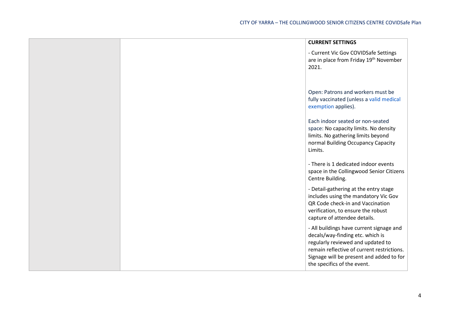|  | <b>CURRENT SETTINGS</b>                                                                                                                                                                                                                    |
|--|--------------------------------------------------------------------------------------------------------------------------------------------------------------------------------------------------------------------------------------------|
|  | - Current Vic Gov COVIDSafe Settings<br>are in place from Friday 19th November<br>2021.                                                                                                                                                    |
|  | Open: Patrons and workers must be<br>fully vaccinated (unless a valid medical<br>exemption applies).                                                                                                                                       |
|  | Each indoor seated or non-seated<br>space: No capacity limits. No density<br>limits. No gathering limits beyond<br>normal Building Occupancy Capacity<br>Limits.                                                                           |
|  | - There is 1 dedicated indoor events<br>space in the Collingwood Senior Citizens<br>Centre Building.                                                                                                                                       |
|  | - Detail-gathering at the entry stage<br>includes using the mandatory Vic Gov<br>QR Code check-in and Vaccination<br>verification, to ensure the robust<br>capture of attendee details.                                                    |
|  | - All buildings have current signage and<br>decals/way-finding etc. which is<br>regularly reviewed and updated to<br>remain reflective of current restrictions.<br>Signage will be present and added to for<br>the specifics of the event. |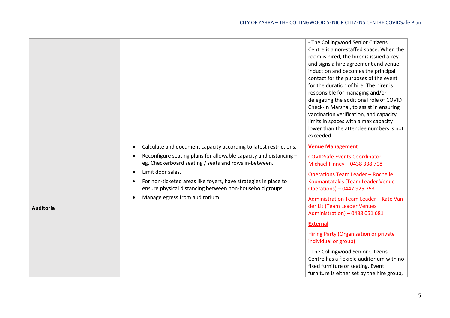|                  |                                                                                                                             | - The Collingwood Senior Citizens<br>Centre is a non-staffed space. When the<br>room is hired, the hirer is issued a key<br>and signs a hire agreement and venue<br>induction and becomes the principal<br>contact for the purposes of the event<br>for the duration of hire. The hirer is<br>responsible for managing and/or<br>delegating the additional role of COVID<br>Check-In Marshal, to assist in ensuring<br>vaccination verification, and capacity<br>limits in spaces with a max capacity<br>lower than the attendee numbers is not<br>exceeded. |
|------------------|-----------------------------------------------------------------------------------------------------------------------------|--------------------------------------------------------------------------------------------------------------------------------------------------------------------------------------------------------------------------------------------------------------------------------------------------------------------------------------------------------------------------------------------------------------------------------------------------------------------------------------------------------------------------------------------------------------|
|                  | Calculate and document capacity according to latest restrictions.<br>$\bullet$                                              | <b>Venue Management</b>                                                                                                                                                                                                                                                                                                                                                                                                                                                                                                                                      |
|                  | Reconfigure seating plans for allowable capacity and distancing -<br>eg. Checkerboard seating / seats and rows in-between.  | <b>COVIDSafe Events Coordinator -</b><br>Michael Finney - 0438 338 708                                                                                                                                                                                                                                                                                                                                                                                                                                                                                       |
|                  | Limit door sales.                                                                                                           | <b>Operations Team Leader - Rochelle</b>                                                                                                                                                                                                                                                                                                                                                                                                                                                                                                                     |
|                  | For non-ticketed areas like foyers, have strategies in place to<br>ensure physical distancing between non-household groups. | Koumantatakis (Team Leader Venue<br>Operations) - 0447 925 753                                                                                                                                                                                                                                                                                                                                                                                                                                                                                               |
| <b>Auditoria</b> | Manage egress from auditorium                                                                                               | Administration Team Leader - Kate Van<br>der Lit (Team Leader Venues<br>Administration) - 0438 051 681                                                                                                                                                                                                                                                                                                                                                                                                                                                       |
|                  |                                                                                                                             | <b>External</b>                                                                                                                                                                                                                                                                                                                                                                                                                                                                                                                                              |
|                  |                                                                                                                             | Hiring Party (Organisation or private<br>individual or group)                                                                                                                                                                                                                                                                                                                                                                                                                                                                                                |
|                  |                                                                                                                             | - The Collingwood Senior Citizens<br>Centre has a flexible auditorium with no<br>fixed furniture or seating. Event<br>furniture is either set by the hire group,                                                                                                                                                                                                                                                                                                                                                                                             |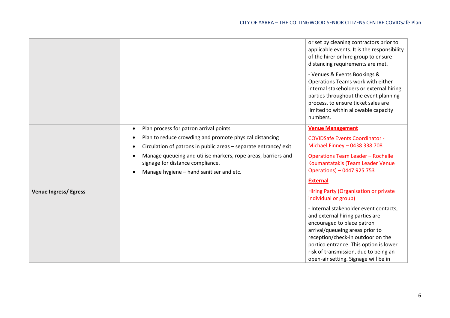|                              |                                                                                                   | or set by cleaning contractors prior to<br>applicable events. It is the responsibility<br>of the hirer or hire group to ensure<br>distancing requirements are met.                                                                                                                                         |
|------------------------------|---------------------------------------------------------------------------------------------------|------------------------------------------------------------------------------------------------------------------------------------------------------------------------------------------------------------------------------------------------------------------------------------------------------------|
|                              |                                                                                                   | - Venues & Events Bookings &<br>Operations Teams work with either<br>internal stakeholders or external hiring<br>parties throughout the event planning<br>process, to ensure ticket sales are<br>limited to within allowable capacity<br>numbers.                                                          |
|                              | Plan process for patron arrival points<br>$\bullet$                                               | <b>Venue Management</b>                                                                                                                                                                                                                                                                                    |
|                              | Plan to reduce crowding and promote physical distancing                                           | <b>COVIDSafe Events Coordinator -</b>                                                                                                                                                                                                                                                                      |
|                              | Circulation of patrons in public areas - separate entrance/ exit                                  | Michael Finney - 0438 338 708                                                                                                                                                                                                                                                                              |
|                              | Manage queueing and utilise markers, rope areas, barriers and<br>signage for distance compliance. | <b>Operations Team Leader - Rochelle</b><br>Koumantatakis (Team Leader Venue                                                                                                                                                                                                                               |
|                              | Manage hygiene - hand sanitiser and etc.                                                          | Operations) - 0447 925 753                                                                                                                                                                                                                                                                                 |
|                              |                                                                                                   | <b>External</b>                                                                                                                                                                                                                                                                                            |
| <b>Venue Ingress/ Egress</b> |                                                                                                   | Hiring Party (Organisation or private<br>individual or group)                                                                                                                                                                                                                                              |
|                              |                                                                                                   | - Internal stakeholder event contacts,<br>and external hiring parties are<br>encouraged to place patron<br>arrival/queueing areas prior to<br>reception/check-in outdoor on the<br>portico entrance. This option is lower<br>risk of transmission, due to being an<br>open-air setting. Signage will be in |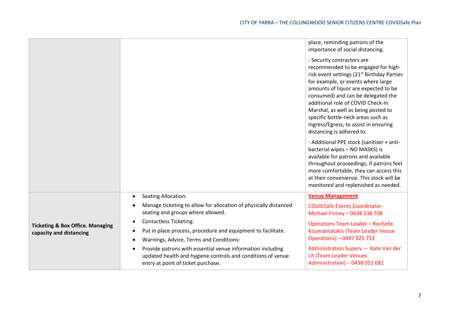|                                                                        |                                                                                                                                                                                 | place, reminding patrons of the<br>importance of social distancing.                                                                                                                                                                                                                                                                                                                                                                     |
|------------------------------------------------------------------------|---------------------------------------------------------------------------------------------------------------------------------------------------------------------------------|-----------------------------------------------------------------------------------------------------------------------------------------------------------------------------------------------------------------------------------------------------------------------------------------------------------------------------------------------------------------------------------------------------------------------------------------|
|                                                                        |                                                                                                                                                                                 | - Security contractors are<br>recommended to be engaged for high-<br>risk event settings (21 <sup>st</sup> Birthday Parties<br>for example, or events where large<br>amounts of liquor are expected to be<br>consumed) and can be delegated the<br>additional role of COVID Check-In<br>Marshal, as well as being posted to<br>specific bottle-neck areas such as<br>Ingress/Egress, to assist in ensuring<br>distancing is adhered to. |
|                                                                        |                                                                                                                                                                                 | - Additional PPE stock (sanitiser + anti-<br>bacterial wipes - NO MASKS) is<br>available for patrons and available<br>throughout proceedings, if patrons feel<br>more comfortable, they can access this<br>at their convenience. This stock will be<br>monitored and replenished as needed.                                                                                                                                             |
|                                                                        | <b>Seating Allocation:</b><br>$\bullet$                                                                                                                                         | <b>Venue Management</b>                                                                                                                                                                                                                                                                                                                                                                                                                 |
|                                                                        | Manage ticketing to allow for allocation of physically distanced<br>٠<br>seating and groups where allowed.                                                                      | <b>COVIDSafe Events Coordinator -</b><br>Michael Finney - 0438 338 708                                                                                                                                                                                                                                                                                                                                                                  |
| <b>Ticketing &amp; Box Office. Managing</b><br>capacity and distancing | <b>Contactless Ticketing:</b><br>$\bullet$<br>Put in place process, procedure and equipment to facilitate.<br>$\bullet$<br>Warnings, Advice, Terms and Conditions:<br>$\bullet$ | <b>Operations Team Leader - Rochelle</b><br>Koumantatakis (Team Leader Venue<br>Operations) - 0447 925 753                                                                                                                                                                                                                                                                                                                              |
|                                                                        | Provide patrons with essential venue information including<br>$\bullet$<br>updated health and hygiene controls and conditions of venue<br>entry at point of ticket purchase.    | Administration Superv. - Kate Van der<br>Lit (Team Leader Venues<br>Administration) - 0438 051 681                                                                                                                                                                                                                                                                                                                                      |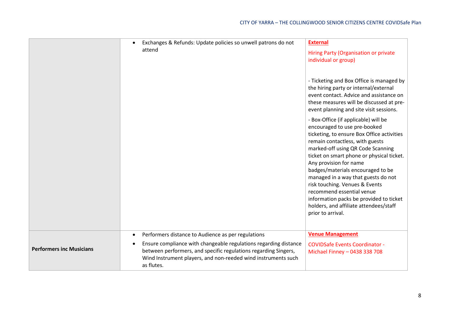|                                 | Exchanges & Refunds: Update policies so unwell patrons do not<br>attend                                                                                                                                                                                                                            | <b>External</b><br>Hiring Party (Organisation or private<br>individual or group)<br>- Ticketing and Box Office is managed by<br>the hiring party or internal/external<br>event contact. Advice and assistance on<br>these measures will be discussed at pre-                                                                                                                                                                                                                                                                                                      |
|---------------------------------|----------------------------------------------------------------------------------------------------------------------------------------------------------------------------------------------------------------------------------------------------------------------------------------------------|-------------------------------------------------------------------------------------------------------------------------------------------------------------------------------------------------------------------------------------------------------------------------------------------------------------------------------------------------------------------------------------------------------------------------------------------------------------------------------------------------------------------------------------------------------------------|
|                                 |                                                                                                                                                                                                                                                                                                    | event planning and site visit sessions.<br>- Box-Office (if applicable) will be<br>encouraged to use pre-booked<br>ticketing, to ensure Box Office activities<br>remain contactless, with guests<br>marked-off using QR Code Scanning<br>ticket on smart phone or physical ticket.<br>Any provision for name<br>badges/materials encouraged to be<br>managed in a way that guests do not<br>risk touching. Venues & Events<br>recommend essential venue<br>information packs be provided to ticket<br>holders, and affiliate attendees/staff<br>prior to arrival. |
| <b>Performers inc Musicians</b> | Performers distance to Audience as per regulations<br>$\bullet$<br>Ensure compliance with changeable regulations regarding distance<br>$\bullet$<br>between performers, and specific regulations regarding Singers,<br>Wind Instrument players, and non-reeded wind instruments such<br>as flutes. | <b>Venue Management</b><br><b>COVIDSafe Events Coordinator -</b><br>Michael Finney - 0438 338 708                                                                                                                                                                                                                                                                                                                                                                                                                                                                 |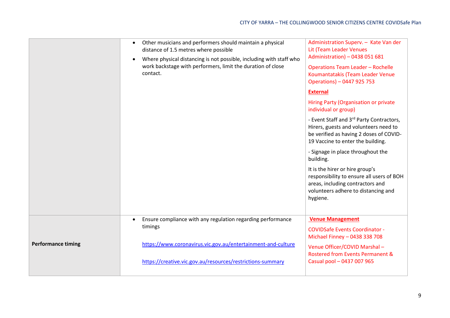|                           | Other musicians and performers should maintain a physical<br>$\bullet$<br>distance of 1.5 metres where possible<br>Where physical distancing is not possible, including with staff who<br>$\bullet$<br>work backstage with performers, limit the duration of close<br>contact. | Administration Superv. - Kate Van der<br>Lit (Team Leader Venues<br>Administration) - 0438 051 681<br><b>Operations Team Leader - Rochelle</b><br>Koumantatakis (Team Leader Venue<br>Operations) - 0447 925 753 |
|---------------------------|--------------------------------------------------------------------------------------------------------------------------------------------------------------------------------------------------------------------------------------------------------------------------------|------------------------------------------------------------------------------------------------------------------------------------------------------------------------------------------------------------------|
|                           |                                                                                                                                                                                                                                                                                | <b>External</b>                                                                                                                                                                                                  |
|                           |                                                                                                                                                                                                                                                                                | Hiring Party (Organisation or private<br>individual or group)                                                                                                                                                    |
|                           |                                                                                                                                                                                                                                                                                | - Event Staff and 3rd Party Contractors,<br>Hirers, guests and volunteers need to<br>be verified as having 2 doses of COVID-<br>19 Vaccine to enter the building.                                                |
|                           |                                                                                                                                                                                                                                                                                | - Signage in place throughout the<br>building.                                                                                                                                                                   |
|                           |                                                                                                                                                                                                                                                                                | It is the hirer or hire group's<br>responsibility to ensure all users of BOH<br>areas, including contractors and<br>volunteers adhere to distancing and<br>hygiene.                                              |
|                           | Ensure compliance with any regulation regarding performance<br>$\bullet$<br>timings                                                                                                                                                                                            | <b>Venue Management</b><br><b>COVIDSafe Events Coordinator -</b>                                                                                                                                                 |
| <b>Performance timing</b> | https://www.coronavirus.vic.gov.au/entertainment-and-culture                                                                                                                                                                                                                   | Michael Finney - 0438 338 708                                                                                                                                                                                    |
|                           | https://creative.vic.gov.au/resources/restrictions-summary                                                                                                                                                                                                                     | Venue Officer/COVID Marshal-<br><b>Rostered from Events Permanent &amp;</b><br>Casual pool - 0437 007 965                                                                                                        |
|                           |                                                                                                                                                                                                                                                                                |                                                                                                                                                                                                                  |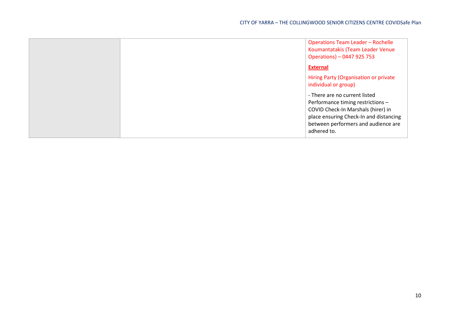|  | <b>Operations Team Leader - Rochelle</b><br>Koumantatakis (Team Leader Venue<br>Operations) - 0447 925 753                                                                                               |
|--|----------------------------------------------------------------------------------------------------------------------------------------------------------------------------------------------------------|
|  | <b>External</b>                                                                                                                                                                                          |
|  | Hiring Party (Organisation or private<br>individual or group)                                                                                                                                            |
|  | - There are no current listed<br>Performance timing restrictions -<br>COVID Check-In Marshals (hirer) in<br>place ensuring Check-In and distancing<br>between performers and audience are<br>adhered to. |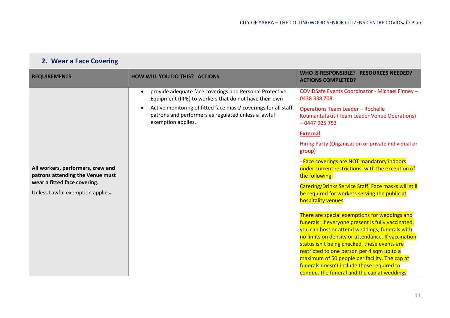| 2. Wear a Face Covering                                                                                                                   |                                                                                                                                                                                                                                                                                           |                                                                                                                                                                                                                                                                                                                                                                                                                                                                                                                                                                                                                                                                                                                                                                                                                                                                                                                                                                                 |
|-------------------------------------------------------------------------------------------------------------------------------------------|-------------------------------------------------------------------------------------------------------------------------------------------------------------------------------------------------------------------------------------------------------------------------------------------|---------------------------------------------------------------------------------------------------------------------------------------------------------------------------------------------------------------------------------------------------------------------------------------------------------------------------------------------------------------------------------------------------------------------------------------------------------------------------------------------------------------------------------------------------------------------------------------------------------------------------------------------------------------------------------------------------------------------------------------------------------------------------------------------------------------------------------------------------------------------------------------------------------------------------------------------------------------------------------|
| <b>REQUIREMENTS</b>                                                                                                                       | <b>HOW WILL YOU DO THIS? ACTIONS</b>                                                                                                                                                                                                                                                      | WHO IS RESPONSIBLE? RESOURCES NEEDED?<br><b>ACTIONS COMPLETED?</b>                                                                                                                                                                                                                                                                                                                                                                                                                                                                                                                                                                                                                                                                                                                                                                                                                                                                                                              |
| All workers, performers, crew and<br>patrons attending the Venue must<br>wear a fitted face covering.<br>Unless Lawful exemption applies- | provide adequate face coverings and Personal Protective<br>$\bullet$<br>Equipment (PPE) to workers that do not have their own<br>Active monitoring of fitted face mask/coverings for all staff,<br>$\bullet$<br>patrons and performers as regulated unless a lawful<br>exemption applies. | COVIDSafe Events Coordinator - Michael Finney -<br>0438 338 708<br><b>Operations Team Leader - Rochelle</b><br>Koumantatakis (Team Leader Venue Operations)<br>$-0447925753$<br><b>External</b><br>Hiring Party (Organisation or private individual or<br>group)<br>- Face coverings are NOT mandatory indoors<br>under current restrictions, with the exception of<br>the following:<br>Catering/Drinks Service Staff: Face masks will still<br>be required for workers serving the public at<br>hospitality venues<br>There are special exemptions for weddings and<br>funerals: If everyone present is fully vaccinated,<br>you can host or attend weddings, funerals with<br>no limits on density or attendance. If vaccination<br>status isn't being checked, these events are<br>restricted to one person per 4 sqm up to a<br>maximum of 50 people per facility. The cap at<br>funerals doesn't include those required to<br>conduct the funeral and the cap at weddings |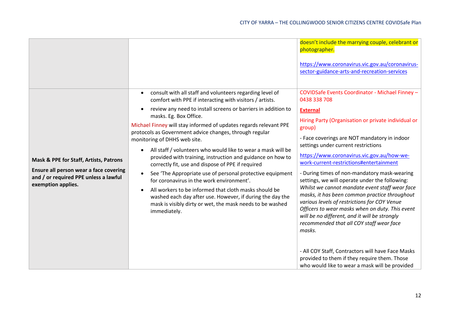| consult with all staff and volunteers regarding level of<br>$\bullet$<br>comfort with PPE if interacting with visitors / artists.<br>0438 338 708<br>review any need to install screens or barriers in addition to<br>$\bullet$<br><b>External</b><br>masks. Eg. Box Office.<br>Michael Finney will stay informed of updates regards relevant PPE<br>group)<br>protocols as Government advice changes, through regular<br>- Face coverings are NOT mandatory in indoor<br>monitoring of DHHS web site.<br>settings under current restrictions<br>All staff / volunteers who would like to wear a mask will be<br>$\bullet$<br>https://www.coronavirus.vic.gov.au/how-we-<br>provided with training, instruction and guidance on how to<br>Mask & PPE for Staff, Artists, Patrons<br>work-current-restrictions#entertainment<br>correctly fit, use and dispose of PPE if required<br>Ensure all person wear a face covering<br>- During times of non-mandatory mask-wearing<br>See 'The Appropriate use of personal protective equipment<br>$\bullet$<br>and / or required PPE unless a lawful<br>settings, we will operate under the following:<br>for coronavirus in the work environment'.<br>exemption applies.<br>Whilst we cannot mandate event staff wear face<br>All workers to be informed that cloth masks should be<br>$\bullet$<br>masks, it has been common practice throughout<br>washed each day after use. However, if during the day the<br>various levels of restrictions for COY Venue<br>mask is visibly dirty or wet, the mask needs to be washed<br>Officers to wear masks when on duty. This event<br>immediately.<br>will be no different, and it will be strongly<br>recommended that all COY staff wear face<br>masks.<br>- All COY Staff, Contractors will have Face Masks |  | doesn't include the marrying couple, celebrant or<br>photographer.<br>https://www.coronavirus.vic.gov.au/coronavirus-<br>sector-guidance-arts-and-recreation-services |
|------------------------------------------------------------------------------------------------------------------------------------------------------------------------------------------------------------------------------------------------------------------------------------------------------------------------------------------------------------------------------------------------------------------------------------------------------------------------------------------------------------------------------------------------------------------------------------------------------------------------------------------------------------------------------------------------------------------------------------------------------------------------------------------------------------------------------------------------------------------------------------------------------------------------------------------------------------------------------------------------------------------------------------------------------------------------------------------------------------------------------------------------------------------------------------------------------------------------------------------------------------------------------------------------------------------------------------------------------------------------------------------------------------------------------------------------------------------------------------------------------------------------------------------------------------------------------------------------------------------------------------------------------------------------------------------------------------------------------------------------------------------------------------------------------|--|-----------------------------------------------------------------------------------------------------------------------------------------------------------------------|
| who would like to wear a mask will be provided                                                                                                                                                                                                                                                                                                                                                                                                                                                                                                                                                                                                                                                                                                                                                                                                                                                                                                                                                                                                                                                                                                                                                                                                                                                                                                                                                                                                                                                                                                                                                                                                                                                                                                                                                       |  | COVIDSafe Events Coordinator - Michael Finney -<br>Hiring Party (Organisation or private individual or<br>provided to them if they require them. Those                |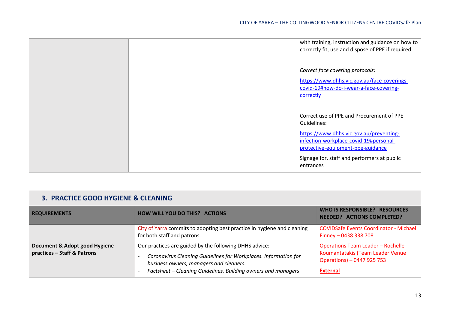|  | with training, instruction and guidance on how to<br>correctly fit, use and dispose of PPE if required.                                                                                                                                        |
|--|------------------------------------------------------------------------------------------------------------------------------------------------------------------------------------------------------------------------------------------------|
|  | Correct face covering protocols:<br>https://www.dhhs.vic.gov.au/face-coverings-<br>covid-19#how-do-i-wear-a-face-covering-<br>correctly                                                                                                        |
|  | Correct use of PPE and Procurement of PPE<br>Guidelines:<br>https://www.dhhs.vic.gov.au/preventing-<br>infection-workplace-covid-19#personal-<br>protective-equipment-ppe-guidance<br>Signage for, staff and performers at public<br>entrances |

| 3. PRACTICE GOOD HYGIENE & CLEANING                          |                                                                                                                           |                                                                                                            |
|--------------------------------------------------------------|---------------------------------------------------------------------------------------------------------------------------|------------------------------------------------------------------------------------------------------------|
| <b>REQUIREMENTS</b>                                          | <b>HOW WILL YOU DO THIS? ACTIONS</b>                                                                                      | WHO IS RESPONSIBLE? RESOURCES<br><b>NEEDED? ACTIONS COMPLETED?</b>                                         |
|                                                              | City of Yarra commits to adopting best practice in hygiene and cleaning<br>for both staff and patrons.                    | <b>COVIDSafe Events Coordinator - Michael</b><br>Finney - 0438 338 708                                     |
| Document & Adopt good Hygiene<br>practices - Staff & Patrons | Our practices are guided by the following DHHS advice:<br>Coronavirus Cleaning Guidelines for Workplaces. Information for | <b>Operations Team Leader - Rochelle</b><br>Koumantatakis (Team Leader Venue<br>Operations) - 0447 925 753 |
|                                                              | business owners, managers and cleaners.<br>Factsheet - Cleaning Guidelines. Building owners and managers                  | <b>External</b>                                                                                            |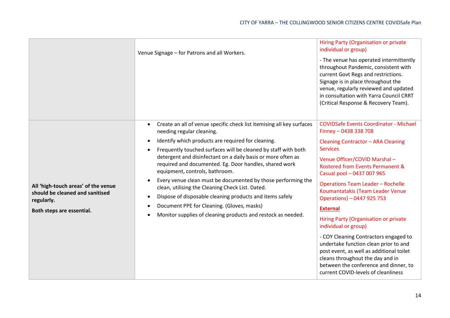|                                                                                                                   | Venue Signage - for Patrons and all Workers.                                                                                                                                                                                                                                                                                                                                                                                                                                                                                                                                                                                                                                                                             | Hiring Party (Organisation or private<br>individual or group)<br>- The venue has operated intermittently<br>throughout Pandemic, consistent with<br>current Govt Regs and restrictions.<br>Signage is in place throughout the<br>venue, regularly reviewed and updated<br>in consultation with Yarra Council CRRT<br>(Critical Response & Recovery Team).                                                                                                                                                                                                                                                                                                                             |
|-------------------------------------------------------------------------------------------------------------------|--------------------------------------------------------------------------------------------------------------------------------------------------------------------------------------------------------------------------------------------------------------------------------------------------------------------------------------------------------------------------------------------------------------------------------------------------------------------------------------------------------------------------------------------------------------------------------------------------------------------------------------------------------------------------------------------------------------------------|---------------------------------------------------------------------------------------------------------------------------------------------------------------------------------------------------------------------------------------------------------------------------------------------------------------------------------------------------------------------------------------------------------------------------------------------------------------------------------------------------------------------------------------------------------------------------------------------------------------------------------------------------------------------------------------|
| All 'high-touch areas' of the venue<br>should be cleaned and sanitised<br>regularly.<br>Both steps are essential. | Create an all of venue specific check list itemising all key surfaces<br>needing regular cleaning.<br>Identify which products are required for cleaning.<br>Frequently touched surfaces will be cleaned by staff with both<br>$\bullet$<br>detergent and disinfectant on a daily basis or more often as<br>required and documented. Eg. Door handles, shared work<br>equipment, controls, bathroom.<br>Every venue clean must be documented by those performing the<br>٠<br>clean, utilising the Cleaning Check List. Dated.<br>Dispose of disposable cleaning products and items safely<br>$\bullet$<br>Document PPE for Cleaning. (Gloves, masks)<br>٠<br>Monitor supplies of cleaning products and restock as needed. | <b>COVIDSafe Events Coordinator - Michael</b><br>Finney - 0438 338 708<br>Cleaning Contractor - ARA Cleaning<br><b>Services</b><br>Venue Officer/COVID Marshal-<br>Rostered from Events Permanent &<br>Casual pool - 0437 007 965<br><b>Operations Team Leader - Rochelle</b><br>Koumantatakis (Team Leader Venue<br>Operations) - 0447 925 753<br><b>External</b><br>Hiring Party (Organisation or private<br>individual or group)<br>- COY Cleaning Contractors engaged to<br>undertake function clean prior to and<br>post event, as well as additional toilet<br>cleans throughout the day and in<br>between the conference and dinner, to<br>current COVID-levels of cleanliness |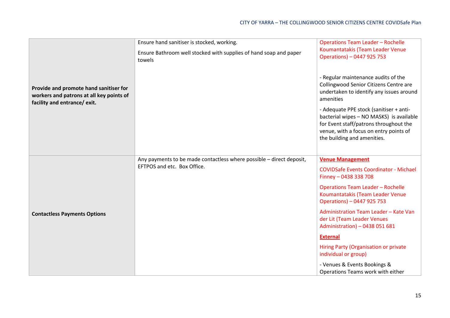|                                                                                                                    | Ensure hand sanitiser is stocked, working.                                  | <b>Operations Team Leader - Rochelle</b>                                                                                                                                                               |
|--------------------------------------------------------------------------------------------------------------------|-----------------------------------------------------------------------------|--------------------------------------------------------------------------------------------------------------------------------------------------------------------------------------------------------|
|                                                                                                                    | Ensure Bathroom well stocked with supplies of hand soap and paper<br>towels | Koumantatakis (Team Leader Venue<br>Operations) - 0447 925 753                                                                                                                                         |
| Provide and promote hand sanitiser for<br>workers and patrons at all key points of<br>facility and entrance/ exit. |                                                                             | - Regular maintenance audits of the<br>Collingwood Senior Citizens Centre are<br>undertaken to identify any issues around<br>amenities                                                                 |
|                                                                                                                    |                                                                             | - Adequate PPE stock (sanitiser + anti-<br>bacterial wipes - NO MASKS) is available<br>for Event staff/patrons throughout the<br>venue, with a focus on entry points of<br>the building and amenities. |
|                                                                                                                    | Any payments to be made contactless where possible - direct deposit,        | <b>Venue Management</b>                                                                                                                                                                                |
| <b>Contactless Payments Options</b>                                                                                | EFTPOS and etc. Box Office.                                                 | <b>COVIDSafe Events Coordinator - Michael</b><br>Finney - 0438 338 708                                                                                                                                 |
|                                                                                                                    |                                                                             | <b>Operations Team Leader - Rochelle</b><br>Koumantatakis (Team Leader Venue<br>Operations) - 0447 925 753                                                                                             |
|                                                                                                                    |                                                                             | Administration Team Leader - Kate Van<br>der Lit (Team Leader Venues<br>Administration) - 0438 051 681                                                                                                 |
|                                                                                                                    |                                                                             | <b>External</b>                                                                                                                                                                                        |
|                                                                                                                    |                                                                             | Hiring Party (Organisation or private<br>individual or group)                                                                                                                                          |
|                                                                                                                    |                                                                             | - Venues & Events Bookings &<br>Operations Teams work with either                                                                                                                                      |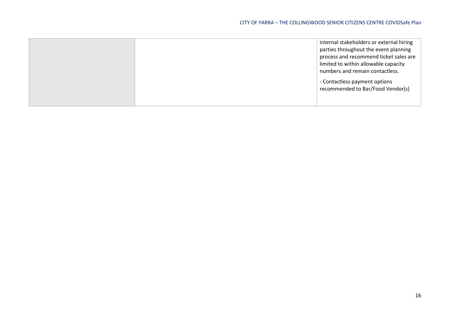|  | internal stakeholders or external hiring |
|--|------------------------------------------|
|  | parties throughout the event planning    |
|  | process and recommend ticket sales are   |
|  | limited to within allowable capacity     |
|  | numbers and remain contactless.          |
|  | - Contactless payment options            |
|  | recommended to Bar/Food Vendor(s)        |
|  |                                          |
|  |                                          |
|  |                                          |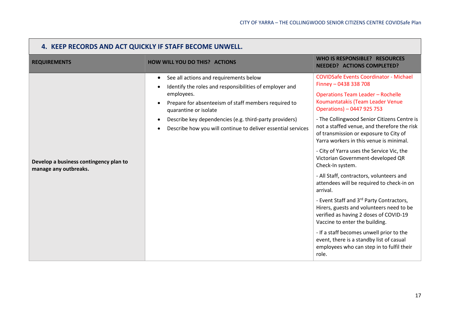| 4. KEEP RECORDS AND ACT QUICKLY IF STAFF BECOME UNWELL.         |                                                                                                                                                                                                                                                                                                                                         |                                                                                                                                                                                                                                                                                                                                                                                                                                                                                                                                                                                                                                                                                                                                                                                                                                                                                                      |
|-----------------------------------------------------------------|-----------------------------------------------------------------------------------------------------------------------------------------------------------------------------------------------------------------------------------------------------------------------------------------------------------------------------------------|------------------------------------------------------------------------------------------------------------------------------------------------------------------------------------------------------------------------------------------------------------------------------------------------------------------------------------------------------------------------------------------------------------------------------------------------------------------------------------------------------------------------------------------------------------------------------------------------------------------------------------------------------------------------------------------------------------------------------------------------------------------------------------------------------------------------------------------------------------------------------------------------------|
| <b>REQUIREMENTS</b>                                             | <b>HOW WILL YOU DO THIS? ACTIONS</b>                                                                                                                                                                                                                                                                                                    | WHO IS RESPONSIBLE? RESOURCES<br><b>NEEDED? ACTIONS COMPLETED?</b>                                                                                                                                                                                                                                                                                                                                                                                                                                                                                                                                                                                                                                                                                                                                                                                                                                   |
| Develop a business contingency plan to<br>manage any outbreaks. | See all actions and requirements below<br>$\bullet$<br>Identify the roles and responsibilities of employer and<br>employees.<br>Prepare for absenteeism of staff members required to<br>quarantine or isolate<br>Describe key dependencies (e.g. third-party providers)<br>Describe how you will continue to deliver essential services | <b>COVIDSafe Events Coordinator - Michael</b><br>Finney - 0438 338 708<br><b>Operations Team Leader - Rochelle</b><br>Koumantatakis (Team Leader Venue<br>Operations) - 0447 925 753<br>- The Collingwood Senior Citizens Centre is<br>not a staffed venue, and therefore the risk<br>of transmission or exposure to City of<br>Yarra workers in this venue is minimal.<br>- City of Yarra uses the Service Vic, the<br>Victorian Government-developed QR<br>Check-In system.<br>- All Staff, contractors, volunteers and<br>attendees will be required to check-in on<br>arrival.<br>- Event Staff and 3rd Party Contractors,<br>Hirers, guests and volunteers need to be<br>verified as having 2 doses of COVID-19<br>Vaccine to enter the building.<br>- If a staff becomes unwell prior to the<br>event, there is a standby list of casual<br>employees who can step in to fulfil their<br>role. |

<u> Tanzania de la pro</u>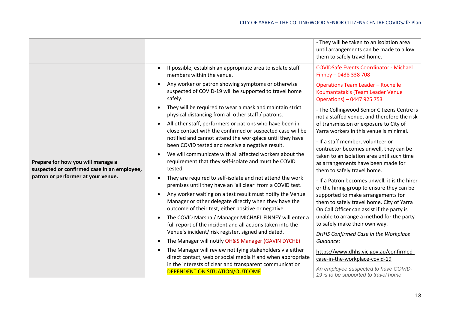|                                                                                                                        |                                                                                                                                                                           | - They will be taken to an isolation area<br>until arrangements can be made to allow<br>them to safely travel home.           |
|------------------------------------------------------------------------------------------------------------------------|---------------------------------------------------------------------------------------------------------------------------------------------------------------------------|-------------------------------------------------------------------------------------------------------------------------------|
|                                                                                                                        | If possible, establish an appropriate area to isolate staff<br>members within the venue.                                                                                  | <b>COVIDSafe Events Coordinator - Michael</b><br>Finney - 0438 338 708                                                        |
|                                                                                                                        | Any worker or patron showing symptoms or otherwise<br>suspected of COVID-19 will be supported to travel home<br>safely.                                                   | <b>Operations Team Leader - Rochelle</b><br>Koumantatakis (Team Leader Venue<br>Operations) - 0447 925 753                    |
|                                                                                                                        | They will be required to wear a mask and maintain strict<br>physical distancing from all other staff / patrons.                                                           | - The Collingwood Senior Citizens Centre is<br>not a staffed venue, and therefore the risk                                    |
|                                                                                                                        | All other staff, performers or patrons who have been in<br>$\bullet$<br>close contact with the confirmed or suspected case will be                                        | of transmission or exposure to City of<br>Yarra workers in this venue is minimal.                                             |
| Prepare for how you will manage a<br>suspected or confirmed case in an employee,<br>patron or performer at your venue. | notified and cannot attend the workplace until they have<br>been COVID tested and receive a negative result.                                                              | - If a staff member, volunteer or<br>contractor becomes unwell, they can be                                                   |
|                                                                                                                        | We will communicate with all affected workers about the<br>requirement that they self-isolate and must be COVID<br>tested.                                                | taken to an isolation area until such time<br>as arrangements have been made for<br>them to safely travel home.               |
|                                                                                                                        | They are required to self-isolate and not attend the work<br>premises until they have an 'all clear' from a COVID test.                                                   | - If a Patron becomes unwell, it is the hirer<br>or the hiring group to ensure they can be                                    |
|                                                                                                                        | Any worker waiting on a test result must notify the Venue<br>Manager or other delegate directly when they have the<br>outcome of their test, either positive or negative. | supported to make arrangements for<br>them to safely travel home. City of Yarra<br>On Call Officer can assist if the party is |
|                                                                                                                        | The COVID Marshal/ Manager MICHAEL FINNEY will enter a<br>full report of the incident and all actions taken into the                                                      | unable to arrange a method for the party<br>to safely make their own way.                                                     |
|                                                                                                                        | Venue's incident/ risk register, signed and dated.<br>The Manager will notify OH&S Manager (GAVIN DYCHE)                                                                  | DHHS Confirmed Case in the Workplace<br>Guidance:                                                                             |
|                                                                                                                        | The Manager will review notifying stakeholders via either<br>direct contact, web or social media if and when appropriate                                                  | https://www.dhhs.vic.gov.au/confirmed-<br>case-in-the-workplace-covid-19                                                      |
|                                                                                                                        | in the interests of clear and transparent communication<br><b>DEPENDENT ON SITUATION/OUTCOME</b>                                                                          | An employee suspected to have COVID-<br>19 is to be supported to travel home                                                  |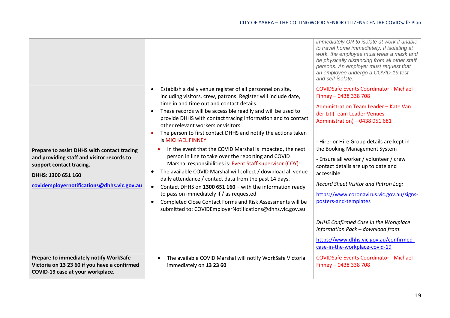|                                                                                                                                                                                           |                                                                                                                                                                                                                                                                                                                                                                                                                                                                                                                                                                                                                                                                                                                                                                                                                                                                                                                                                                                                                                                                | immediately OR to isolate at work if unable<br>to travel home immediately. If isolating at<br>work, the employee must wear a mask and<br>be physically distancing from all other staff<br>persons. An employer must request that<br>an employee undergo a COVID-19 test<br>and self-isolate.                                                                                                                                                                                                                                                                                                                                         |
|-------------------------------------------------------------------------------------------------------------------------------------------------------------------------------------------|----------------------------------------------------------------------------------------------------------------------------------------------------------------------------------------------------------------------------------------------------------------------------------------------------------------------------------------------------------------------------------------------------------------------------------------------------------------------------------------------------------------------------------------------------------------------------------------------------------------------------------------------------------------------------------------------------------------------------------------------------------------------------------------------------------------------------------------------------------------------------------------------------------------------------------------------------------------------------------------------------------------------------------------------------------------|--------------------------------------------------------------------------------------------------------------------------------------------------------------------------------------------------------------------------------------------------------------------------------------------------------------------------------------------------------------------------------------------------------------------------------------------------------------------------------------------------------------------------------------------------------------------------------------------------------------------------------------|
| Prepare to assist DHHS with contact tracing<br>and providing staff and visitor records to<br>support contact tracing.<br>DHHS: 1300 651 160<br>covidemployernotifications@dhhs.vic.gov.au | Establish a daily venue register of all personnel on site,<br>$\bullet$<br>including visitors, crew, patrons. Register will include date,<br>time in and time out and contact details.<br>These records will be accessible readily and will be used to<br>$\bullet$<br>provide DHHS with contact tracing information and to contact<br>other relevant workers or visitors.<br>The person to first contact DHHS and notify the actions taken<br><b>is MICHAEL FINNEY</b><br>In the event that the COVID Marshal is impacted, the next<br>person in line to take over the reporting and COVID<br>Marshal responsibilities is: Event Staff supervisor (COY):<br>The available COVID Marshal will collect / download all venue<br>$\bullet$<br>daily attendance / contact data from the past 14 days.<br>Contact DHHS on 1300 651 160 - with the information ready<br>$\bullet$<br>to pass on immediately if / as requested<br>Completed Close Contact Forms and Risk Assessments will be<br>$\bullet$<br>submitted to: COVIDEmployerNotifications@dhhs.vic.gov.au | <b>COVIDSafe Events Coordinator - Michael</b><br>Finney - 0438 338 708<br>Administration Team Leader - Kate Van<br>der Lit (Team Leader Venues<br>Administration) - 0438 051 681<br>- Hirer or Hire Group details are kept in<br>the Booking Management System<br>- Ensure all worker / volunteer / crew<br>contact details are up to date and<br>accessible.<br>Record Sheet Visitor and Patron Log:<br>https://www.coronavirus.vic.gov.au/signs-<br>posters-and-templates<br>DHHS Confirmed Case in the Workplace<br>Information Pack - download from:<br>https://www.dhhs.vic.gov.au/confirmed-<br>case-in-the-workplace-covid-19 |
| Prepare to immediately notify WorkSafe<br>Victoria on 13 23 60 if you have a confirmed<br>COVID-19 case at your workplace.                                                                | The available COVID Marshal will notify WorkSafe Victoria<br>$\bullet$<br>immediately on 13 23 60                                                                                                                                                                                                                                                                                                                                                                                                                                                                                                                                                                                                                                                                                                                                                                                                                                                                                                                                                              | <b>COVIDSafe Events Coordinator - Michael</b><br>Finney - 0438 338 708                                                                                                                                                                                                                                                                                                                                                                                                                                                                                                                                                               |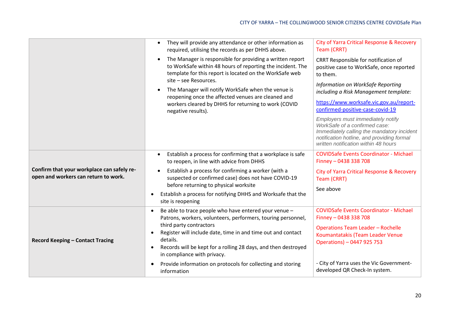|                                                                                    | They will provide any attendance or other information as<br>required, utilising the records as per DHHS above.<br>The Manager is responsible for providing a written report<br>$\bullet$<br>to WorkSafe within 48 hours of reporting the incident. The<br>template for this report is located on the WorkSafe web<br>site - see Resources.<br>The Manager will notify WorkSafe when the venue is<br>reopening once the affected venues are cleaned and<br>workers cleared by DHHS for returning to work (COVID<br>negative results). | <b>City of Yarra Critical Response &amp; Recovery</b><br>Team (CRRT)<br>CRRT Responsible for notification of<br>positive case to WorkSafe, once reported<br>to them.<br>Information on WorkSafe Reporting<br>including a Risk Management template:<br>https://www.worksafe.vic.gov.au/report-<br>confirmed-positive-case-covid-19<br>Employers must immediately notify<br>WorkSafe of a confirmed case:<br>Immediately calling the mandatory incident<br>notification hotline, and providing formal<br>written notification within 48 hours |
|------------------------------------------------------------------------------------|--------------------------------------------------------------------------------------------------------------------------------------------------------------------------------------------------------------------------------------------------------------------------------------------------------------------------------------------------------------------------------------------------------------------------------------------------------------------------------------------------------------------------------------|---------------------------------------------------------------------------------------------------------------------------------------------------------------------------------------------------------------------------------------------------------------------------------------------------------------------------------------------------------------------------------------------------------------------------------------------------------------------------------------------------------------------------------------------|
| Confirm that your workplace can safely re-<br>open and workers can return to work. | Establish a process for confirming that a workplace is safe<br>$\bullet$<br>to reopen, in line with advice from DHHS<br>Establish a process for confirming a worker (with a<br>suspected or confirmed case) does not have COVID-19<br>before returning to physical worksite<br>Establish a process for notifying DHHS and Worksafe that the<br>$\bullet$<br>site is reopening                                                                                                                                                        | <b>COVIDSafe Events Coordinator - Michael</b><br>Finney - 0438 338 708<br>City of Yarra Critical Response & Recovery<br>Team (CRRT)<br>See above                                                                                                                                                                                                                                                                                                                                                                                            |
| <b>Record Keeping - Contact Tracing</b>                                            | Be able to trace people who have entered your venue -<br>$\bullet$<br>Patrons, workers, volunteers, performers, touring personnel,<br>third party contractors<br>Register will include date, time in and time out and contact<br>$\bullet$<br>details.<br>Records will be kept for a rolling 28 days, and then destroyed<br>$\bullet$<br>in compliance with privacy.<br>Provide information on protocols for collecting and storing<br>$\bullet$<br>information                                                                      | <b>COVIDSafe Events Coordinator - Michael</b><br>Finney - 0438 338 708<br><b>Operations Team Leader - Rochelle</b><br>Koumantatakis (Team Leader Venue<br>Operations) - 0447 925 753<br>- City of Yarra uses the Vic Government-<br>developed QR Check-In system.                                                                                                                                                                                                                                                                           |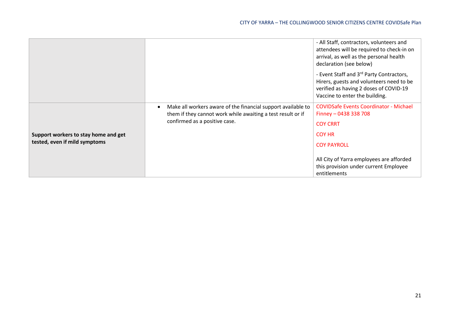|                                                                       |                                                                                                                                                              | - All Staff, contractors, volunteers and<br>attendees will be required to check-in on<br>arrival, as well as the personal health<br>declaration (see below)      |
|-----------------------------------------------------------------------|--------------------------------------------------------------------------------------------------------------------------------------------------------------|------------------------------------------------------------------------------------------------------------------------------------------------------------------|
|                                                                       |                                                                                                                                                              | - Event Staff and 3rd Party Contractors,<br>Hirers, guests and volunteers need to be<br>verified as having 2 doses of COVID-19<br>Vaccine to enter the building. |
| Support workers to stay home and get<br>tested, even if mild symptoms | Make all workers aware of the financial support available to<br>them if they cannot work while awaiting a test result or if<br>confirmed as a positive case. | <b>COVIDSafe Events Coordinator - Michael</b><br>Finney - 0438 338 708<br><b>COY CRRT</b><br><b>COY HR</b><br><b>COY PAYROLL</b>                                 |
|                                                                       |                                                                                                                                                              | All City of Yarra employees are afforded<br>this provision under current Employee<br>entitlements                                                                |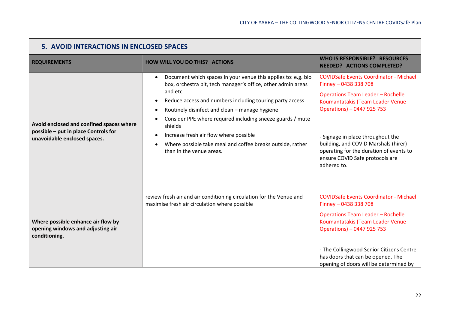| 5. AVOID INTERACTIONS IN ENCLOSED SPACES                                                                         |                                                                                                                                                                                                                                                                                                                                                                                                                                                                                             |                                                                                                                                                                                                                                                                                                                                                                |
|------------------------------------------------------------------------------------------------------------------|---------------------------------------------------------------------------------------------------------------------------------------------------------------------------------------------------------------------------------------------------------------------------------------------------------------------------------------------------------------------------------------------------------------------------------------------------------------------------------------------|----------------------------------------------------------------------------------------------------------------------------------------------------------------------------------------------------------------------------------------------------------------------------------------------------------------------------------------------------------------|
| <b>REQUIREMENTS</b>                                                                                              | <b>HOW WILL YOU DO THIS? ACTIONS</b>                                                                                                                                                                                                                                                                                                                                                                                                                                                        | <b>WHO IS RESPONSIBLE? RESOURCES</b><br><b>NEEDED? ACTIONS COMPLETED?</b>                                                                                                                                                                                                                                                                                      |
| Avoid enclosed and confined spaces where<br>possible - put in place Controls for<br>unavoidable enclosed spaces. | Document which spaces in your venue this applies to: e.g. bio<br>٠<br>box, orchestra pit, tech manager's office, other admin areas<br>and etc.<br>Reduce access and numbers including touring party access<br>Routinely disinfect and clean - manage hygiene<br>Consider PPE where required including sneeze guards / mute<br>shields<br>Increase fresh air flow where possible<br>٠<br>Where possible take meal and coffee breaks outside, rather<br>$\bullet$<br>than in the venue areas. | <b>COVIDSafe Events Coordinator - Michael</b><br>Finney - 0438 338 708<br><b>Operations Team Leader - Rochelle</b><br>Koumantatakis (Team Leader Venue<br>Operations) - 0447 925 753<br>- Signage in place throughout the<br>building, and COVID Marshals (hirer)<br>operating for the duration of events to<br>ensure COVID Safe protocols are<br>adhered to. |
| Where possible enhance air flow by<br>opening windows and adjusting air<br>conditioning.                         | review fresh air and air conditioning circulation for the Venue and<br>maximise fresh air circulation where possible                                                                                                                                                                                                                                                                                                                                                                        | <b>COVIDSafe Events Coordinator - Michael</b><br>Finney - 0438 338 708<br><b>Operations Team Leader - Rochelle</b><br>Koumantatakis (Team Leader Venue<br>Operations) - 0447 925 753<br>- The Collingwood Senior Citizens Centre<br>has doors that can be opened. The<br>opening of doors will be determined by                                                |

**The State**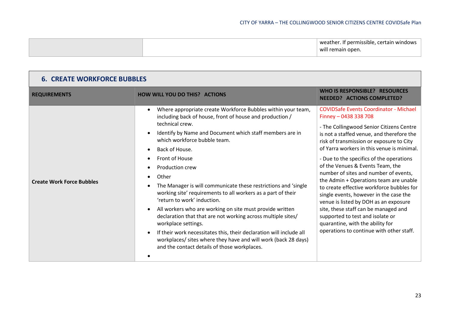|  | † permissible, certain windows-<br>weather |
|--|--------------------------------------------|
|  | will remain open.                          |

| <b>6. CREATE WORKFORCE BUBBLES</b> |                                                                                                                                                                                                                                                                                                                                                                                                                                                                                                                                                                                                                                                                                                                                                                                                                                   |                                                                                                                                                                                                                                                                                                                                                                                                                                                                                                                                                                                                                                                                                                                          |
|------------------------------------|-----------------------------------------------------------------------------------------------------------------------------------------------------------------------------------------------------------------------------------------------------------------------------------------------------------------------------------------------------------------------------------------------------------------------------------------------------------------------------------------------------------------------------------------------------------------------------------------------------------------------------------------------------------------------------------------------------------------------------------------------------------------------------------------------------------------------------------|--------------------------------------------------------------------------------------------------------------------------------------------------------------------------------------------------------------------------------------------------------------------------------------------------------------------------------------------------------------------------------------------------------------------------------------------------------------------------------------------------------------------------------------------------------------------------------------------------------------------------------------------------------------------------------------------------------------------------|
| <b>REQUIREMENTS</b>                | <b>HOW WILL YOU DO THIS? ACTIONS</b>                                                                                                                                                                                                                                                                                                                                                                                                                                                                                                                                                                                                                                                                                                                                                                                              | WHO IS RESPONSIBLE? RESOURCES<br><b>NEEDED? ACTIONS COMPLETED?</b>                                                                                                                                                                                                                                                                                                                                                                                                                                                                                                                                                                                                                                                       |
| <b>Create Work Force Bubbles</b>   | Where appropriate create Workforce Bubbles within your team,<br>including back of house, front of house and production /<br>technical crew.<br>Identify by Name and Document which staff members are in<br>which workforce bubble team.<br>Back of House.<br>Front of House<br>Production crew<br>Other<br>$\bullet$<br>The Manager is will communicate these restrictions and 'single<br>working site' requirements to all workers as a part of their<br>'return to work' induction.<br>All workers who are working on site must provide written<br>declaration that that are not working across multiple sites/<br>workplace settings.<br>If their work necessitates this, their declaration will include all<br>workplaces/ sites where they have and will work (back 28 days)<br>and the contact details of those workplaces. | <b>COVIDSafe Events Coordinator - Michael</b><br>Finney - 0438 338 708<br>- The Collingwood Senior Citizens Centre<br>is not a staffed venue, and therefore the<br>risk of transmission or exposure to City<br>of Yarra workers in this venue is minimal.<br>- Due to the specifics of the operations<br>of the Venues & Events Team, the<br>number of sites and number of events,<br>the Admin + Operations team are unable<br>to create effective workforce bubbles for<br>single events, however in the case the<br>venue is listed by DOH as an exposure<br>site, these staff can be managed and<br>supported to test and isolate or<br>quarantine, with the ability for<br>operations to continue with other staff. |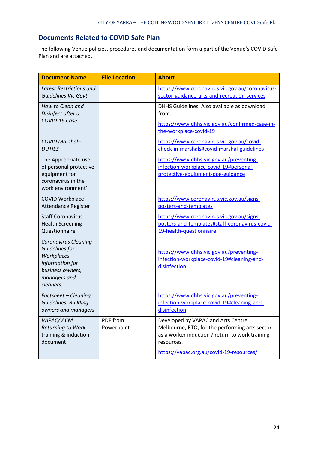### **Documents Related to COVID Safe Plan**

The following Venue policies, procedures and documentation form a part of the Venue's COVID Safe Plan and are attached.

| <b>Document Name</b>                                                                                                             | <b>File Location</b>   | <b>About</b>                                                                                                                                                                                      |
|----------------------------------------------------------------------------------------------------------------------------------|------------------------|---------------------------------------------------------------------------------------------------------------------------------------------------------------------------------------------------|
| <b>Latest Restrictions and</b><br><b>Guidelines Vic Govt</b>                                                                     |                        | https://www.coronavirus.vic.gov.au/coronavirus-<br>sector-guidance-arts-and-recreation-services                                                                                                   |
| How to Clean and<br>Disinfect after a                                                                                            |                        | DHHS Guidelines. Also available as download<br>from:                                                                                                                                              |
| COVID-19 Case.                                                                                                                   |                        | https://www.dhhs.vic.gov.au/confirmed-case-in-<br>the-workplace-covid-19                                                                                                                          |
| COVID Marshal-<br><b>DUTIES</b>                                                                                                  |                        | https://www.coronavirus.vic.gov.au/covid-<br>check-in-marshals#covid-marshal-guidelines                                                                                                           |
| The Appropriate use<br>of personal protective<br>equipment for<br>coronavirus in the<br>work environment'                        |                        | https://www.dhhs.vic.gov.au/preventing-<br>infection-workplace-covid-19#personal-<br>protective-equipment-ppe-guidance                                                                            |
| <b>COVID Workplace</b><br>Attendance Register                                                                                    |                        | https://www.coronavirus.vic.gov.au/signs-<br>posters-and-templates                                                                                                                                |
| <b>Staff Coronavirus</b><br><b>Health Screening</b><br>Questionnaire                                                             |                        | https://www.coronavirus.vic.gov.au/signs-<br>posters-and-templates#staff-coronavirus-covid-<br>19-health-questionnaire                                                                            |
| <b>Coronavirus Cleaning</b><br>Guidelines for<br>Workplaces.<br>Information for<br>business owners,<br>managers and<br>cleaners. |                        | https://www.dhhs.vic.gov.au/preventing-<br>infection-workplace-covid-19#cleaning-and-<br>disinfection                                                                                             |
| Factsheet - Cleaning<br>Guidelines. Building<br>owners and managers                                                              |                        | https://www.dhhs.vic.gov.au/preventing-<br>infection-workplace-covid-19#cleaning-and-<br>disinfection                                                                                             |
| VAPAC/ACM<br>Returning to Work<br>training & induction<br>document                                                               | PDF from<br>Powerpoint | Developed by VAPAC and Arts Centre<br>Melbourne, RTO, for the performing arts sector<br>as a worker induction / return to work training<br>resources.<br>https://vapac.org.au/covid-19-resources/ |
|                                                                                                                                  |                        |                                                                                                                                                                                                   |